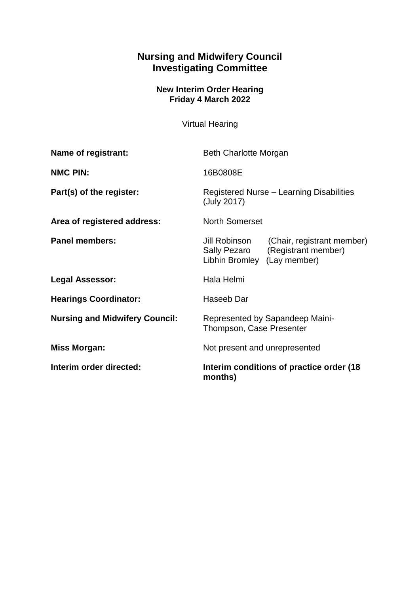## **Nursing and Midwifery Council Investigating Committee**

## **New Interim Order Hearing Friday 4 March 2022**

Virtual Hearing

| Name of registrant:                   | <b>Beth Charlotte Morgan</b>                                                                                      |
|---------------------------------------|-------------------------------------------------------------------------------------------------------------------|
| <b>NMC PIN:</b>                       | 16B0808E                                                                                                          |
| Part(s) of the register:              | Registered Nurse - Learning Disabilities<br>(July 2017)                                                           |
| Area of registered address:           | <b>North Somerset</b>                                                                                             |
| <b>Panel members:</b>                 | Jill Robinson<br>(Chair, registrant member)<br>(Registrant member)<br>Sally Pezaro<br>Libhin Bromley (Lay member) |
| <b>Legal Assessor:</b>                | Hala Helmi                                                                                                        |
| <b>Hearings Coordinator:</b>          | Haseeb Dar                                                                                                        |
| <b>Nursing and Midwifery Council:</b> | Represented by Sapandeep Maini-<br>Thompson, Case Presenter                                                       |
| <b>Miss Morgan:</b>                   | Not present and unrepresented                                                                                     |
| Interim order directed:               | Interim conditions of practice order (18)<br>months)                                                              |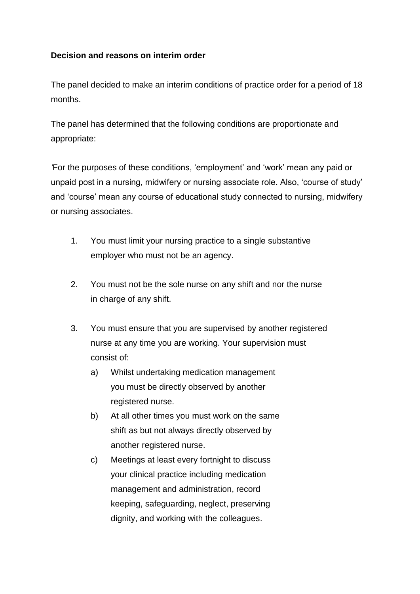## **Decision and reasons on interim order**

The panel decided to make an interim conditions of practice order for a period of 18 months.

The panel has determined that the following conditions are proportionate and appropriate:

*'*For the purposes of these conditions, 'employment' and 'work' mean any paid or unpaid post in a nursing, midwifery or nursing associate role. Also, 'course of study' and 'course' mean any course of educational study connected to nursing, midwifery or nursing associates.

- 1. You must limit your nursing practice to a single substantive employer who must not be an agency.
- 2. You must not be the sole nurse on any shift and nor the nurse in charge of any shift.
- 3. You must ensure that you are supervised by another registered nurse at any time you are working. Your supervision must consist of:
	- a) Whilst undertaking medication management you must be directly observed by another registered nurse.
	- b) At all other times you must work on the same shift as but not always directly observed by another registered nurse.
	- c) Meetings at least every fortnight to discuss your clinical practice including medication management and administration, record keeping, safeguarding, neglect, preserving dignity, and working with the colleagues.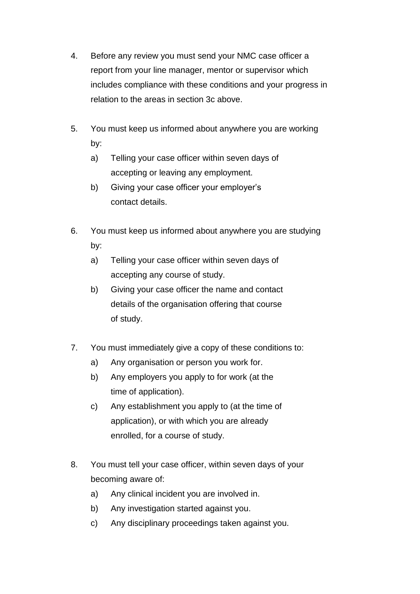- 4. Before any review you must send your NMC case officer a report from your line manager, mentor or supervisor which includes compliance with these conditions and your progress in relation to the areas in section 3c above.
- 5. You must keep us informed about anywhere you are working by:
	- a) Telling your case officer within seven days of accepting or leaving any employment.
	- b) Giving your case officer your employer's contact details.
- 6. You must keep us informed about anywhere you are studying by:
	- a) Telling your case officer within seven days of accepting any course of study.
	- b) Giving your case officer the name and contact details of the organisation offering that course of study.
- 7. You must immediately give a copy of these conditions to:
	- a) Any organisation or person you work for.
	- b) Any employers you apply to for work (at the time of application).
	- c) Any establishment you apply to (at the time of application), or with which you are already enrolled, for a course of study.
- 8. You must tell your case officer, within seven days of your becoming aware of:
	- a) Any clinical incident you are involved in.
	- b) Any investigation started against you.
	- c) Any disciplinary proceedings taken against you.